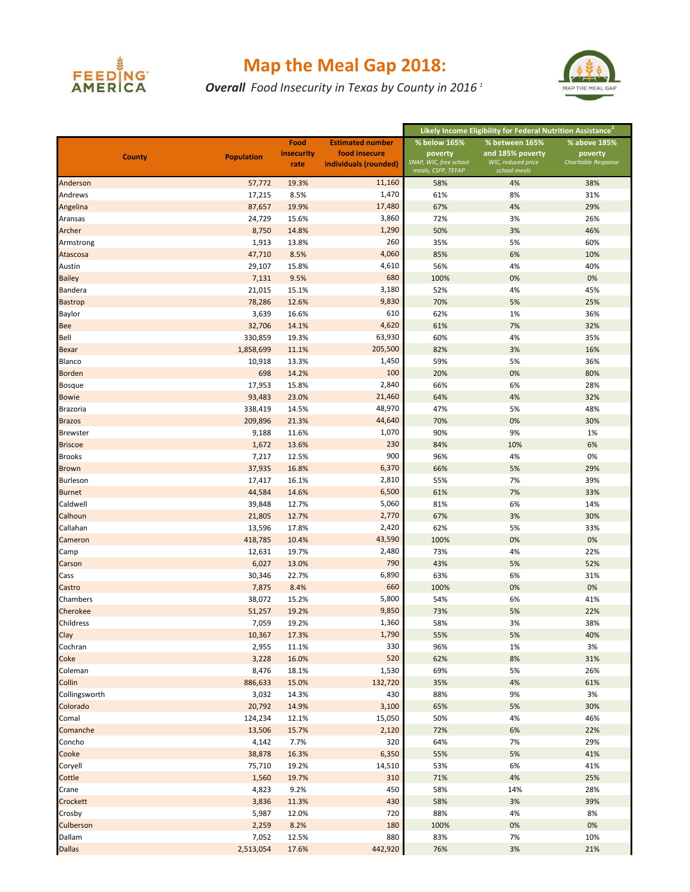

## **Map the Meal Gap 2018:**

*Overall Food Insecurity in Texas by County in 2016 <sup>1</sup>*



|                                 |                   |            |                         | Likely Income Eligibility for Federal Nutrition Assistance <sup>4</sup> |                                    |                     |  |
|---------------------------------|-------------------|------------|-------------------------|-------------------------------------------------------------------------|------------------------------------|---------------------|--|
|                                 |                   | Food       | <b>Estimated number</b> | % below 165%                                                            | % between 165%                     | % above 185%        |  |
| <b>County</b>                   | <b>Population</b> | insecurity | food insecure           | poverty                                                                 | and 185% poverty                   | poverty             |  |
|                                 |                   | rate       | individuals (rounded)   | SNAP, WIC, free school<br>meals, CSFP, TEFAP                            | WIC, reduced price<br>school meals | Charitable Response |  |
|                                 |                   |            |                         |                                                                         |                                    |                     |  |
| Anderson                        | 57,772            | 19.3%      | 11,160                  | 58%                                                                     | 4%                                 | 38%                 |  |
| Andrews                         | 17,215            | 8.5%       | 1,470                   | 61%                                                                     | 8%                                 | 31%                 |  |
| Angelina                        | 87,657            | 19.9%      | 17,480                  | 67%                                                                     | 4%                                 | 29%                 |  |
| Aransas                         | 24,729            | 15.6%      | 3,860                   | 72%                                                                     | 3%                                 | 26%                 |  |
| Archer                          | 8,750             | 14.8%      | 1,290                   | 50%                                                                     | 3%                                 | 46%                 |  |
| Armstrong                       | 1,913             | 13.8%      | 260                     | 35%                                                                     | 5%                                 | 60%                 |  |
| Atascosa                        | 47,710            | 8.5%       | 4,060                   | 85%                                                                     | 6%                                 | 10%                 |  |
| Austin                          | 29,107            | 15.8%      | 4,610<br>680            | 56%                                                                     | 4%                                 | 40%                 |  |
| <b>Bailey</b><br><b>Bandera</b> | 7,131             | 9.5%       |                         | 100%                                                                    | 0%                                 | 0%                  |  |
|                                 | 21,015            | 15.1%      | 3,180                   | 52%                                                                     | 4%                                 | 45%                 |  |
| <b>Bastrop</b>                  | 78,286            | 12.6%      | 9,830                   | 70%                                                                     | 5%                                 | 25%                 |  |
| Baylor                          | 3,639             | 16.6%      | 610                     | 62%                                                                     | 1%                                 | 36%                 |  |
| <b>Bee</b>                      | 32,706            | 14.1%      | 4,620                   | 61%                                                                     | 7%                                 | 32%                 |  |
| Bell                            | 330,859           | 19.3%      | 63,930                  | 60%                                                                     | 4%                                 | 35%                 |  |
| <b>Bexar</b>                    | 1,858,699         | 11.1%      | 205,500                 | 82%                                                                     | 3%                                 | 16%                 |  |
| Blanco                          | 10,918            | 13.3%      | 1,450                   | 59%                                                                     | 5%                                 | 36%                 |  |
| <b>Borden</b>                   | 698               | 14.2%      | 100                     | 20%                                                                     | 0%                                 | 80%                 |  |
| <b>Bosque</b>                   | 17,953            | 15.8%      | 2,840                   | 66%                                                                     | 6%                                 | 28%                 |  |
| <b>Bowie</b>                    | 93,483            | 23.0%      | 21,460                  | 64%                                                                     | 4%                                 | 32%                 |  |
| <b>Brazoria</b>                 | 338,419           | 14.5%      | 48,970                  | 47%                                                                     | 5%                                 | 48%                 |  |
| <b>Brazos</b>                   | 209,896           | 21.3%      | 44,640                  | 70%                                                                     | 0%                                 | 30%                 |  |
| <b>Brewster</b>                 | 9,188             | 11.6%      | 1,070                   | 90%                                                                     | 9%                                 | 1%                  |  |
| <b>Briscoe</b>                  | 1,672             | 13.6%      | 230                     | 84%                                                                     | 10%                                | 6%                  |  |
| <b>Brooks</b>                   | 7,217             | 12.5%      | 900                     | 96%                                                                     | 4%                                 | 0%                  |  |
| <b>Brown</b>                    | 37,935            | 16.8%      | 6,370                   | 66%                                                                     | 5%                                 | 29%                 |  |
| <b>Burleson</b>                 | 17,417            | 16.1%      | 2,810                   | 55%                                                                     | 7%                                 | 39%                 |  |
| <b>Burnet</b>                   | 44,584            | 14.6%      | 6,500                   | 61%                                                                     | 7%                                 | 33%                 |  |
| Caldwell                        | 39,848            | 12.7%      | 5,060                   | 81%                                                                     | 6%                                 | 14%                 |  |
| Calhoun                         | 21,805            | 12.7%      | 2,770                   | 67%                                                                     | 3%                                 | 30%                 |  |
| Callahan                        | 13,596            | 17.8%      | 2,420                   | 62%                                                                     | 5%                                 | 33%                 |  |
| Cameron                         | 418,785           | 10.4%      | 43,590                  | 100%                                                                    | 0%                                 | 0%                  |  |
| Camp                            | 12,631            | 19.7%      | 2,480                   | 73%                                                                     | 4%                                 | 22%                 |  |
| Carson                          | 6,027             | 13.0%      | 790                     | 43%                                                                     | 5%                                 | 52%                 |  |
| Cass                            | 30,346            | 22.7%      | 6,890                   | 63%                                                                     | 6%                                 | 31%                 |  |
| Castro                          | 7,875             | 8.4%       | 660                     | 100%                                                                    | 0%                                 | 0%                  |  |
| Chambers                        | 38,072            | 15.2%      | 5,800                   | 54%                                                                     | 6%                                 | 41%                 |  |
| Cherokee                        | 51,257            | 19.2%      | 9,850                   | 73%                                                                     | 5%                                 | 22%                 |  |
| Childress                       | 7,059             | 19.2%      | 1,360                   | 58%                                                                     | 3%                                 | 38%                 |  |
| Clay                            | 10,367            | 17.3%      | 1,790                   | 55%                                                                     | 5%                                 | 40%                 |  |
| Cochran                         | 2,955             | 11.1%      | 330                     | 96%                                                                     | 1%                                 | 3%                  |  |
| Coke                            | 3,228             | 16.0%      | 520                     | 62%                                                                     | 8%                                 | 31%                 |  |
| Coleman                         | 8,476             | 18.1%      | 1,530                   | 69%                                                                     | 5%                                 | 26%                 |  |
| Collin                          | 886,633           | 15.0%      | 132,720                 | 35%                                                                     | 4%                                 | 61%                 |  |
| Collingsworth                   | 3,032             | 14.3%      | 430                     | 88%                                                                     | 9%                                 | 3%                  |  |
| Colorado                        | 20,792            | 14.9%      | 3,100                   | 65%                                                                     | 5%                                 | 30%                 |  |
| Comal                           | 124,234           | 12.1%      | 15,050                  | 50%                                                                     | 4%                                 | 46%                 |  |
| Comanche                        | 13,506            | 15.7%      | 2,120                   | 72%                                                                     | 6%                                 | 22%                 |  |
| Concho                          | 4,142             | 7.7%       | 320                     | 64%                                                                     | 7%                                 | 29%                 |  |
| Cooke                           | 38,878            | 16.3%      | 6,350                   | 55%                                                                     | 5%                                 | 41%                 |  |
| Coryell                         | 75,710            | 19.2%      | 14,510                  | 53%                                                                     | 6%                                 | 41%                 |  |
| Cottle                          | 1,560             | 19.7%      | 310                     | 71%                                                                     | 4%                                 | 25%                 |  |
| Crane                           | 4,823             | 9.2%       | 450                     | 58%                                                                     | 14%                                | 28%                 |  |
| Crockett                        | 3,836             | 11.3%      | 430                     | 58%                                                                     | 3%                                 | 39%                 |  |
| Crosby                          | 5,987             | 12.0%      | 720                     | 88%                                                                     | 4%                                 | 8%                  |  |
| Culberson                       | 2,259             | 8.2%       | 180                     | 100%                                                                    | 0%                                 | 0%                  |  |
| Dallam                          | 7,052             | 12.5%      | 880                     | 83%                                                                     | 7%                                 | 10%                 |  |
| <b>Dallas</b>                   | 2,513,054         | 17.6%      | 442,920                 | 76%                                                                     | 3%                                 | 21%                 |  |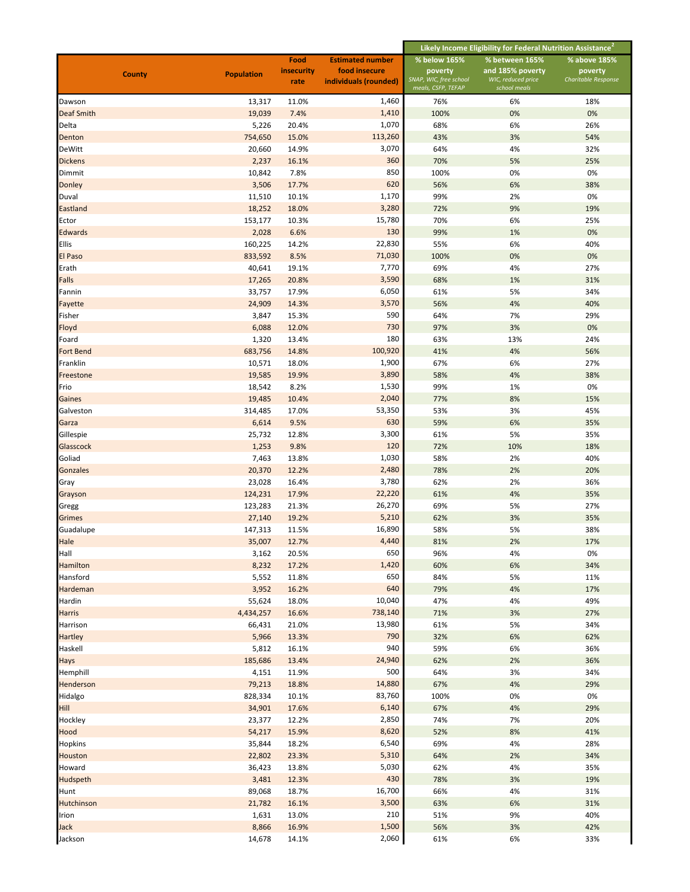|                   |                   |            |                         |                        | Likely Income Eligibility for Federal Nutrition Assistance <sup>2</sup> |                     |
|-------------------|-------------------|------------|-------------------------|------------------------|-------------------------------------------------------------------------|---------------------|
|                   |                   | Food       | <b>Estimated number</b> | % below 165%           | % between 165%                                                          | % above 185%        |
| <b>County</b>     | <b>Population</b> | insecurity | food insecure           | poverty                | and 185% poverty                                                        | poverty             |
|                   |                   | rate       | individuals (rounded)   | SNAP, WIC, free school | WIC, reduced price                                                      | Charitable Response |
|                   |                   |            |                         | meals, CSFP, TEFAP     | school meals                                                            |                     |
| Dawson            | 13,317            | 11.0%      | 1,460                   | 76%                    | 6%                                                                      | 18%                 |
| <b>Deaf Smith</b> | 19,039            | 7.4%       | 1,410                   | 100%                   | 0%                                                                      | 0%                  |
| Delta             | 5,226             | 20.4%      | 1,070                   | 68%                    | 6%                                                                      | 26%                 |
| Denton            | 754,650           | 15.0%      | 113,260                 | 43%                    | 3%                                                                      | 54%                 |
| <b>DeWitt</b>     | 20,660            | 14.9%      | 3,070                   | 64%                    | 4%                                                                      | 32%                 |
| <b>Dickens</b>    | 2,237             | 16.1%      | 360                     | 70%                    | 5%                                                                      | 25%                 |
| Dimmit            | 10,842            | 7.8%       | 850                     | 100%                   | 0%                                                                      | 0%                  |
| Donley            | 3,506             | 17.7%      | 620                     | 56%                    | 6%                                                                      | 38%                 |
| Duval             | 11,510            | 10.1%      | 1,170                   | 99%                    | 2%                                                                      | 0%                  |
| Eastland          |                   | 18.0%      | 3,280                   | 72%                    | 9%                                                                      | 19%                 |
|                   | 18,252            |            |                         |                        |                                                                         |                     |
| Ector             | 153,177           | 10.3%      | 15,780                  | 70%                    | 6%                                                                      | 25%                 |
| Edwards           | 2,028             | 6.6%       | 130                     | 99%                    | 1%                                                                      | 0%                  |
| Ellis             | 160,225           | 14.2%      | 22,830                  | 55%                    | 6%                                                                      | 40%                 |
| El Paso           | 833,592           | 8.5%       | 71,030                  | 100%                   | 0%                                                                      | 0%                  |
| Erath             | 40,641            | 19.1%      | 7,770                   | 69%                    | 4%                                                                      | 27%                 |
| Falls             | 17,265            | 20.8%      | 3,590                   | 68%                    | 1%                                                                      | 31%                 |
| Fannin            | 33,757            | 17.9%      | 6,050                   | 61%                    | 5%                                                                      | 34%                 |
| Fayette           | 24,909            | 14.3%      | 3,570                   | 56%                    | 4%                                                                      | 40%                 |
| Fisher            | 3,847             | 15.3%      | 590                     | 64%                    | 7%                                                                      | 29%                 |
| Floyd             | 6,088             | 12.0%      | 730                     | 97%                    | 3%                                                                      | 0%                  |
| Foard             | 1,320             | 13.4%      | 180                     | 63%                    | 13%                                                                     | 24%                 |
| <b>Fort Bend</b>  | 683,756           | 14.8%      | 100,920                 | 41%                    | 4%                                                                      | 56%                 |
| Franklin          | 10,571            | 18.0%      | 1,900                   | 67%                    | 6%                                                                      | 27%                 |
| Freestone         | 19,585            | 19.9%      | 3,890                   | 58%                    | 4%                                                                      | 38%                 |
| Frio              | 18,542            | 8.2%       | 1,530                   | 99%                    | 1%                                                                      | $0\%$               |
|                   |                   |            | 2,040                   |                        |                                                                         |                     |
| Gaines            | 19,485            | 10.4%      |                         | 77%                    | 8%                                                                      | 15%                 |
| Galveston         | 314,485           | 17.0%      | 53,350                  | 53%                    | 3%                                                                      | 45%                 |
| Garza             | 6,614             | 9.5%       | 630                     | 59%                    | 6%                                                                      | 35%                 |
| Gillespie         | 25,732            | 12.8%      | 3,300                   | 61%                    | 5%                                                                      | 35%                 |
| Glasscock         | 1,253             | 9.8%       | 120                     | 72%                    | 10%                                                                     | 18%                 |
| Goliad            | 7,463             | 13.8%      | 1,030                   | 58%                    | 2%                                                                      | 40%                 |
| Gonzales          | 20,370            | 12.2%      | 2,480                   | 78%                    | 2%                                                                      | 20%                 |
| Gray              | 23,028            | 16.4%      | 3,780                   | 62%                    | 2%                                                                      | 36%                 |
| Grayson           | 124,231           | 17.9%      | 22,220                  | 61%                    | 4%                                                                      | 35%                 |
| Gregg             | 123,283           | 21.3%      | 26,270                  | 69%                    | 5%                                                                      | 27%                 |
| <b>Grimes</b>     | 27,140            | 19.2%      | 5,210                   | 62%                    | 3%                                                                      | 35%                 |
| Guadalupe         | 147,313           | 11.5%      | 16,890                  | 58%                    | 5%                                                                      | 38%                 |
| Hale              | 35,007            | 12.7%      | 4,440                   | 81%                    | 2%                                                                      | 17%                 |
| Hall              | 3,162             | 20.5%      | 650                     | 96%                    | 4%                                                                      | 0%                  |
| Hamilton          | 8,232             | 17.2%      | 1,420                   | 60%                    | 6%                                                                      | 34%                 |
| Hansford          | 5,552             | 11.8%      | 650                     | 84%                    | 5%                                                                      | 11%                 |
| Hardeman          | 3,952             | 16.2%      | 640                     | 79%                    | 4%                                                                      | 17%                 |
| Hardin            | 55,624            | 18.0%      | 10,040                  | 47%                    | 4%                                                                      | 49%                 |
| <b>Harris</b>     | 4,434,257         | 16.6%      | 738,140                 | 71%                    | 3%                                                                      | 27%                 |
|                   |                   |            | 13,980                  |                        |                                                                         |                     |
| Harrison          | 66,431            | 21.0%      |                         | 61%                    | 5%                                                                      | 34%                 |
| <b>Hartley</b>    | 5,966             | 13.3%      | 790                     | 32%                    | 6%                                                                      | 62%                 |
| Haskell           | 5,812             | 16.1%      | 940                     | 59%                    | 6%                                                                      | 36%                 |
| <b>Hays</b>       | 185,686           | 13.4%      | 24,940                  | 62%                    | 2%                                                                      | 36%                 |
| Hemphill          | 4,151             | 11.9%      | 500                     | 64%                    | 3%                                                                      | 34%                 |
| Henderson         | 79,213            | 18.8%      | 14,880                  | 67%                    | 4%                                                                      | 29%                 |
| Hidalgo           | 828,334           | 10.1%      | 83,760                  | 100%                   | 0%                                                                      | 0%                  |
| <b>Hill</b>       | 34,901            | 17.6%      | 6,140                   | 67%                    | 4%                                                                      | 29%                 |
| Hockley           | 23,377            | 12.2%      | 2,850                   | 74%                    | 7%                                                                      | 20%                 |
| Hood              | 54,217            | 15.9%      | 8,620                   | 52%                    | 8%                                                                      | 41%                 |
| Hopkins           | 35,844            | 18.2%      | 6,540                   | 69%                    | 4%                                                                      | 28%                 |
| Houston           | 22,802            | 23.3%      | 5,310                   | 64%                    | 2%                                                                      | 34%                 |
| Howard            | 36,423            | 13.8%      | 5,030                   | 62%                    | 4%                                                                      | 35%                 |
| Hudspeth          | 3,481             | 12.3%      | 430                     | 78%                    | 3%                                                                      | 19%                 |
| Hunt              | 89,068            | 18.7%      | 16,700                  | 66%                    | 4%                                                                      | 31%                 |
| Hutchinson        | 21,782            | 16.1%      | 3,500                   | 63%                    | 6%                                                                      | 31%                 |
| Irion             | 1,631             | 13.0%      | 210                     | 51%                    | 9%                                                                      | 40%                 |
|                   |                   |            |                         |                        | 3%                                                                      | 42%                 |
| Jack              | 8,866             | 16.9%      | 1,500<br>2,060          | 56%                    |                                                                         |                     |
| Jackson           | 14,678            | 14.1%      |                         | 61%                    | 6%                                                                      | 33%                 |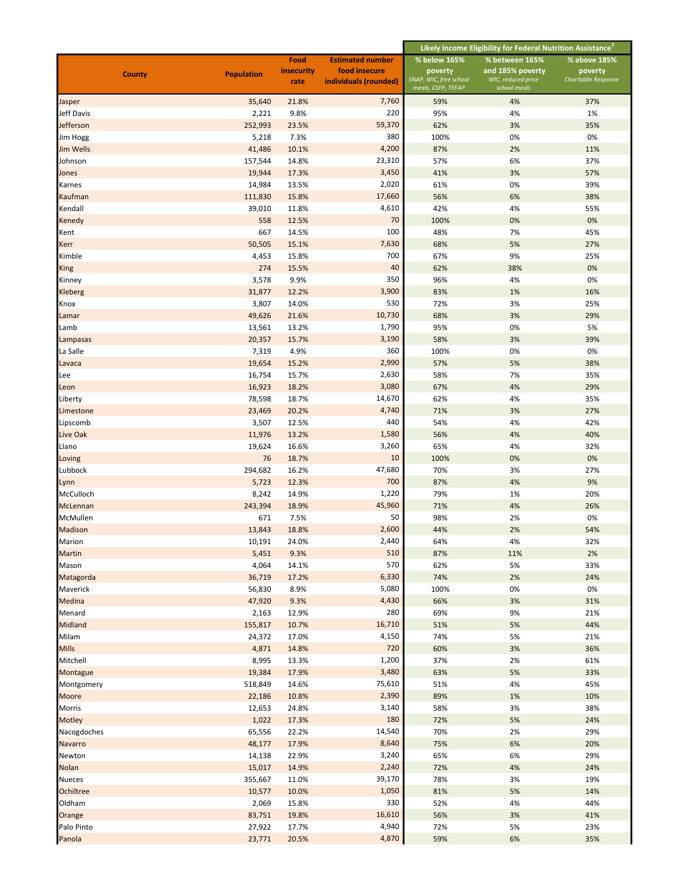|                  |                   |            |                                        | Likely Income Eligibility for Federal Nutrition Assistance <sup>2</sup> |                                        |                                       |  |
|------------------|-------------------|------------|----------------------------------------|-------------------------------------------------------------------------|----------------------------------------|---------------------------------------|--|
|                  |                   | Food       | <b>Estimated number</b>                | % below 165%                                                            | % between 165%                         | % above 185%                          |  |
| <b>County</b>    | <b>Population</b> | insecurity | food insecure<br>individuals (rounded) | poverty<br>SNAP, WIC, free school                                       | and 185% poverty<br>WIC, reduced price | poverty<br><b>Charitable Response</b> |  |
|                  |                   | rate       |                                        | meals, CSFP, TEFAP                                                      | school meals                           |                                       |  |
| Jasper           | 35,640            | 21.8%      | 7,760                                  | 59%                                                                     | 4%                                     | 37%                                   |  |
| Jeff Davis       | 2,221             | 9.8%       | 220                                    | 95%                                                                     | 4%                                     | 1%                                    |  |
| Jefferson        | 252,993           | 23.5%      | 59,370                                 | 62%                                                                     | 3%                                     | 35%                                   |  |
| Jim Hogg         | 5,218             | 7.3%       | 380                                    | 100%                                                                    | 0%                                     | 0%                                    |  |
| <b>Jim Wells</b> | 41,486            | 10.1%      | 4,200                                  | 87%                                                                     | 2%                                     | 11%                                   |  |
| Johnson          | 157,544           | 14.8%      | 23,310                                 | 57%                                                                     | 6%                                     | 37%                                   |  |
| Jones            | 19,944            | 17.3%      | 3,450                                  | 41%                                                                     | 3%                                     | 57%                                   |  |
| Karnes           | 14,984            | 13.5%      | 2,020                                  | 61%                                                                     | 0%                                     | 39%                                   |  |
| Kaufman          | 111,830           | 15.8%      | 17,660                                 | 56%                                                                     | 6%                                     | 38%                                   |  |
| Kendall          | 39,010            | 11.8%      | 4,610                                  | 42%                                                                     | 4%                                     | 55%                                   |  |
| Kenedy           | 558               | 12.5%      | 70                                     | 100%                                                                    | 0%                                     | 0%                                    |  |
| Kent             | 667               | 14.5%      | 100                                    | 48%                                                                     | 7%                                     | 45%                                   |  |
| Kerr             | 50,505            | 15.1%      | 7,630                                  | 68%                                                                     | 5%                                     | 27%                                   |  |
| Kimble           | 4,453             | 15.8%      | 700                                    | 67%                                                                     | 9%                                     | 25%                                   |  |
| <b>King</b>      | 274               | 15.5%      | 40                                     | 62%                                                                     | 38%                                    | 0%                                    |  |
| Kinney           | 3,578             | 9.9%       | 350                                    | 96%                                                                     | 4%                                     | 0%                                    |  |
| Kleberg          | 31,877            | 12.2%      | 3,900                                  | 83%                                                                     | 1%                                     | 16%                                   |  |
| Knox             | 3,807             | 14.0%      | 530                                    | 72%                                                                     | 3%                                     | 25%                                   |  |
| Lamar            | 49,626            | 21.6%      | 10,730                                 | 68%                                                                     | 3%                                     | 29%                                   |  |
| Lamb             | 13,561            | 13.2%      | 1,790                                  | 95%                                                                     | 0%                                     | 5%                                    |  |
| Lampasas         | 20,357            | 15.7%      | 3,190                                  | 58%                                                                     | 3%                                     | 39%                                   |  |
| La Salle         | 7,319             | 4.9%       | 360                                    | 100%                                                                    | 0%                                     | 0%                                    |  |
| Lavaca           | 19,654            | 15.2%      | 2,990                                  | 57%                                                                     | 5%                                     | 38%                                   |  |
| Lee              | 16,754            | 15.7%      | 2,630                                  | 58%                                                                     | 7%                                     | 35%                                   |  |
| Leon             | 16,923            | 18.2%      | 3,080                                  | 67%                                                                     | 4%                                     | 29%                                   |  |
| Liberty          | 78,598            | 18.7%      | 14,670                                 | 62%                                                                     | 4%                                     | 35%                                   |  |
| Limestone        | 23,469            | 20.2%      | 4,740                                  | 71%                                                                     | 3%                                     | 27%                                   |  |
| Lipscomb         | 3,507             | 12.5%      | 440                                    | 54%                                                                     | 4%                                     | 42%                                   |  |
| Live Oak         | 11,976            | 13.2%      | 1,580                                  | 56%                                                                     | 4%                                     | 40%                                   |  |
| Llano            | 19,624            | 16.6%      | 3,260                                  | 65%                                                                     | 4%                                     | 32%                                   |  |
| Loving           | 76                | 18.7%      | 10                                     | 100%                                                                    | 0%                                     | 0%                                    |  |
| Lubbock          | 294,682           | 16.2%      | 47,680                                 | 70%                                                                     | 3%                                     | 27%                                   |  |
| Lynn             | 5,723             | 12.3%      | 700                                    | 87%                                                                     | 4%                                     | 9%                                    |  |
| McCulloch        | 8,242             | 14.9%      | 1,220                                  | 79%                                                                     | 1%                                     | 20%                                   |  |
| McLennan         | 243,394           | 18.9%      | 45,960                                 | 71%                                                                     | 4%                                     | 26%                                   |  |
| McMullen         | 671               | 7.5%       | 50                                     | 98%                                                                     | 2%                                     | 0%                                    |  |
| Madison          | 13,843            | 18.8%      | 2,600                                  | 44%                                                                     | 2%                                     | 54%                                   |  |
| Marion           | 10,191            | 24.0%      | 2,440                                  | 64%                                                                     | 4%                                     | 32%                                   |  |
| <b>Martin</b>    | 5,451             | 9.3%       | 510                                    | 87%                                                                     | 11%                                    | 2%                                    |  |
| Mason            | 4,064             | 14.1%      | 570                                    | 62%                                                                     | 5%                                     | 33%                                   |  |
| Matagorda        | 36,719            | 17.2%      | 6,330                                  | 74%                                                                     | 2%                                     | 24%                                   |  |
| Maverick         | 56,830            | 8.9%       | 5,080                                  | 100%                                                                    | 0%                                     | 0%                                    |  |
| Medina           | 47,920            | 9.3%       | 4,430                                  | 66%                                                                     | 3%                                     | 31%                                   |  |
| Menard           | 2,163             | 12.9%      | 280                                    | 69%                                                                     | 9%                                     | 21%                                   |  |
| Midland          | 155,817           | 10.7%      | 16,710                                 | 51%                                                                     | 5%                                     | 44%                                   |  |
| Milam            | 24,372            | 17.0%      | 4,150                                  | 74%                                                                     | 5%                                     | 21%                                   |  |
| <b>Mills</b>     | 4,871             | 14.8%      | 720                                    | 60%                                                                     | 3%                                     | 36%                                   |  |
| Mitchell         | 8,995             | 13.3%      | 1,200                                  | 37%                                                                     | 2%                                     | 61%                                   |  |
| Montague         | 19,384            | 17.9%      | 3,480                                  | 63%                                                                     | 5%                                     | 33%                                   |  |
| Montgomery       | 518,849           | 14.6%      | 75,610                                 | 51%                                                                     | 4%                                     | 45%                                   |  |
| Moore            | 22,186            | 10.8%      | 2,390                                  | 89%                                                                     | 1%                                     | 10%                                   |  |
| Morris           | 12,653            | 24.8%      | 3,140                                  | 58%                                                                     | 3%                                     | 38%                                   |  |
| Motley           | 1,022             | 17.3%      | 180                                    | 72%                                                                     | 5%                                     | 24%                                   |  |
| Nacogdoches      | 65,556            | 22.2%      | 14,540                                 | 70%                                                                     | 2%                                     | 29%                                   |  |
| Navarro          | 48,177            | 17.9%      | 8,640                                  | 75%                                                                     | 6%                                     | 20%                                   |  |
| Newton           | 14,138            | 22.9%      | 3,240                                  | 65%                                                                     | 6%                                     | 29%                                   |  |
| Nolan            | 15,017            | 14.9%      | 2,240                                  | 72%                                                                     | 4%                                     | 24%                                   |  |
| Nueces           | 355,667           | 11.0%      | 39,170                                 | 78%                                                                     | 3%                                     | 19%                                   |  |
| Ochiltree        | 10,577            | 10.0%      | 1,050                                  | 81%                                                                     | 5%                                     | 14%                                   |  |
| Oldham           | 2,069             | 15.8%      | 330                                    | 52%                                                                     | 4%                                     | 44%                                   |  |
| Orange           | 83,751            | 19.8%      | 16,610                                 | 56%                                                                     | 3%                                     | 41%                                   |  |
| Palo Pinto       | 27,922            | 17.7%      | 4,940                                  | 72%                                                                     | 5%                                     | 23%                                   |  |
| Panola           | 23,771            | 20.5%      | 4,870                                  | 59%                                                                     | 6%                                     | 35%                                   |  |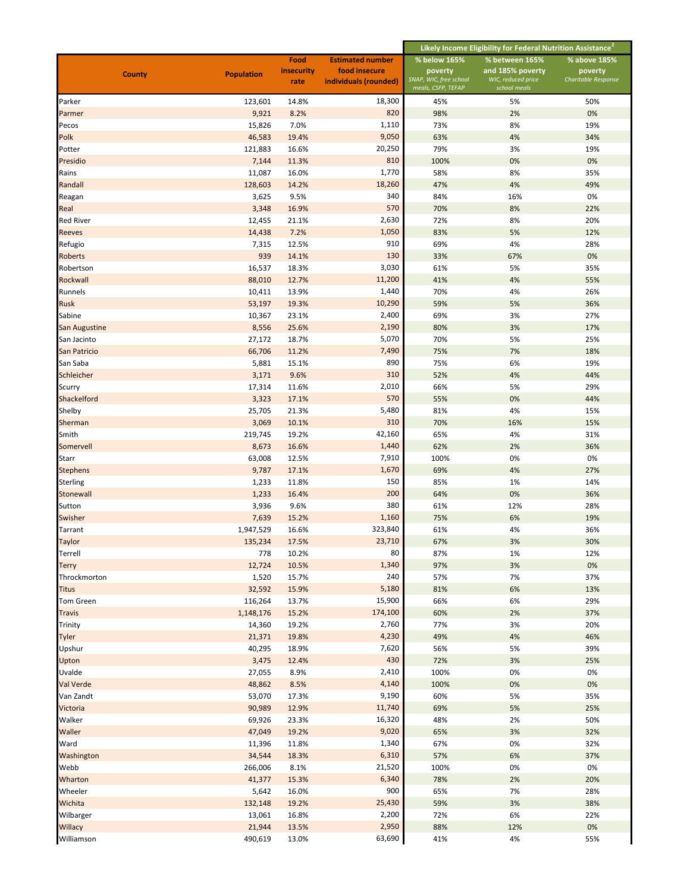|                  |                   |            |                         |                                              | Likely Income Eligibility for Federal Nutrition Assistance <sup>2</sup> |                     |  |
|------------------|-------------------|------------|-------------------------|----------------------------------------------|-------------------------------------------------------------------------|---------------------|--|
|                  |                   | Food       | <b>Estimated number</b> | % below 165%                                 | % between 165%                                                          | % above 185%        |  |
| <b>County</b>    | <b>Population</b> | insecurity | food insecure           | poverty                                      | and 185% poverty                                                        | poverty             |  |
|                  |                   | rate       | individuals (rounded)   | SNAP, WIC, free school<br>meals, CSFP, TEFAP | WIC, reduced price<br>school meals                                      | Charitable Response |  |
|                  |                   |            |                         |                                              |                                                                         |                     |  |
| Parker           | 123,601           | 14.8%      | 18,300                  | 45%                                          | 5%                                                                      | 50%                 |  |
| Parmer           | 9,921             | 8.2%       | 820                     | 98%                                          | 2%                                                                      | 0%                  |  |
| Pecos            | 15,826            | 7.0%       | 1,110                   | 73%                                          | 8%                                                                      | 19%                 |  |
| Polk             | 46,583            | 19.4%      | 9,050                   | 63%                                          | 4%                                                                      | 34%                 |  |
| Potter           | 121,883           | 16.6%      | 20,250                  | 79%                                          | 3%                                                                      | 19%                 |  |
| Presidio         | 7,144             | 11.3%      | 810                     | 100%                                         | 0%                                                                      | 0%                  |  |
| Rains            | 11,087            | 16.0%      | 1,770                   | 58%                                          | 8%                                                                      | 35%                 |  |
| Randall          | 128,603           | 14.2%      | 18,260                  | 47%                                          | 4%                                                                      | 49%                 |  |
| Reagan           | 3,625             | 9.5%       | 340                     | 84%                                          | 16%                                                                     | 0%                  |  |
| Real             | 3,348             | 16.9%      | 570                     | 70%                                          | 8%                                                                      | 22%                 |  |
| <b>Red River</b> | 12,455            | 21.1%      | 2,630                   | 72%                                          | 8%                                                                      | 20%                 |  |
| <b>Reeves</b>    | 14,438            | 7.2%       | 1,050                   | 83%                                          | 5%                                                                      | 12%                 |  |
| Refugio          | 7,315             | 12.5%      | 910                     | 69%                                          | 4%                                                                      | 28%                 |  |
| <b>Roberts</b>   | 939               | 14.1%      | 130                     | 33%                                          | 67%                                                                     | 0%                  |  |
| Robertson        | 16,537            | 18.3%      | 3,030                   | 61%                                          | 5%                                                                      | 35%                 |  |
| Rockwall         | 88,010            | 12.7%      | 11,200                  | 41%                                          | 4%                                                                      | 55%                 |  |
| Runnels          | 10,411            | 13.9%      | 1,440                   | 70%                                          | 4%                                                                      | 26%                 |  |
| <b>Rusk</b>      | 53,197            | 19.3%      | 10,290                  | 59%                                          | 5%                                                                      | 36%                 |  |
| Sabine           | 10,367            | 23.1%      | 2,400                   | 69%                                          | 3%                                                                      | 27%                 |  |
| San Augustine    | 8,556             | 25.6%      | 2,190                   | 80%                                          | 3%                                                                      | 17%                 |  |
| San Jacinto      | 27,172            | 18.7%      | 5,070                   | 70%                                          | 5%                                                                      | 25%                 |  |
| San Patricio     | 66,706            | 11.2%      | 7,490                   | 75%                                          | 7%                                                                      | 18%                 |  |
| San Saba         | 5,881             | 15.1%      | 890                     | 75%                                          | 6%                                                                      | 19%                 |  |
| Schleicher       | 3,171             | 9.6%       | 310                     | 52%                                          | 4%                                                                      | 44%                 |  |
| Scurry           | 17,314            | 11.6%      | 2,010                   | 66%                                          | 5%                                                                      | 29%                 |  |
| Shackelford      | 3,323             | 17.1%      | 570                     | 55%                                          | 0%                                                                      | 44%                 |  |
| Shelby           | 25,705            | 21.3%      | 5,480                   | 81%                                          | 4%                                                                      | 15%                 |  |
| Sherman          | 3,069             | 10.1%      | 310                     | 70%                                          | 16%                                                                     | 15%                 |  |
| Smith            | 219,745           | 19.2%      | 42,160                  | 65%                                          | 4%                                                                      | 31%                 |  |
| Somervell        | 8,673             | 16.6%      | 1,440                   | 62%                                          | 2%                                                                      | 36%                 |  |
| Starr            | 63,008            | 12.5%      | 7,910                   | 100%                                         | 0%                                                                      | 0%                  |  |
| <b>Stephens</b>  | 9,787             | 17.1%      | 1,670                   | 69%                                          | 4%                                                                      | 27%                 |  |
| <b>Sterling</b>  | 1,233             | 11.8%      | 150                     | 85%                                          | 1%                                                                      | 14%                 |  |
| Stonewall        | 1,233             | 16.4%      | 200                     | 64%                                          | 0%                                                                      | 36%                 |  |
| Sutton           | 3,936             | 9.6%       | 380                     | 61%                                          | 12%                                                                     | 28%                 |  |
| Swisher          | 7,639             | 15.2%      | 1,160                   | 75%                                          | 6%                                                                      | 19%                 |  |
| Tarrant          | 1,947,529         | 16.6%      | 323,840                 | 61%                                          | 4%                                                                      | 36%                 |  |
| <b>Taylor</b>    | 135,234           | 17.5%      | 23,710                  | 67%                                          | 3%                                                                      | 30%                 |  |
| Terrell          | 778               | 10.2%      | 80                      | 87%                                          | 1%                                                                      | 12%                 |  |
| <b>Terry</b>     | 12,724            | 10.5%      | 1,340                   | 97%                                          | 3%                                                                      | 0%                  |  |
| Throckmorton     | 1,520             | 15.7%      | 240                     | 57%                                          | 7%                                                                      | 37%                 |  |
| <b>Titus</b>     | 32,592            | 15.9%      | 5,180                   | 81%                                          | 6%                                                                      | 13%                 |  |
| <b>Tom Green</b> | 116,264           | 13.7%      | 15,900                  | 66%                                          | 6%                                                                      | 29%                 |  |
| <b>Travis</b>    | 1,148,176         | 15.2%      | 174,100                 | 60%                                          | 2%                                                                      | 37%                 |  |
| Trinity          | 14,360            | 19.2%      | 2,760                   | 77%                                          | 3%                                                                      | 20%                 |  |
| Tyler            | 21,371            | 19.8%      | 4,230                   | 49%                                          | 4%                                                                      | 46%                 |  |
| Upshur           | 40,295            | 18.9%      | 7,620                   | 56%                                          | 5%                                                                      | 39%                 |  |
| Upton            | 3,475             | 12.4%      | 430                     | 72%                                          | 3%                                                                      | 25%                 |  |
| Uvalde           | 27,055            | 8.9%       | 2,410                   | 100%                                         | 0%                                                                      | 0%                  |  |
| Val Verde        | 48,862            | 8.5%       | 4,140                   | 100%                                         | 0%                                                                      | 0%                  |  |
| Van Zandt        | 53,070            | 17.3%      | 9,190                   | 60%                                          | 5%                                                                      | 35%                 |  |
| Victoria         | 90,989            | 12.9%      | 11,740                  | 69%                                          | 5%                                                                      | 25%                 |  |
| Walker           | 69,926            | 23.3%      | 16,320                  | 48%                                          | 2%                                                                      | 50%                 |  |
| Waller           | 47,049            | 19.2%      | 9,020                   | 65%                                          | 3%                                                                      | 32%                 |  |
| Ward             | 11,396            | 11.8%      | 1,340                   | 67%                                          | 0%                                                                      | 32%                 |  |
| Washington       | 34,544            | 18.3%      | 6,310                   | 57%                                          | 6%                                                                      | 37%                 |  |
| Webb             | 266,006           | 8.1%       | 21,520                  | 100%                                         | 0%                                                                      | 0%                  |  |
| Wharton          | 41,377            | 15.3%      | 6,340                   | 78%                                          | 2%                                                                      | 20%                 |  |
| Wheeler          | 5,642             | 16.0%      | 900                     | 65%                                          | 7%                                                                      | 28%                 |  |
| Wichita          | 132,148           | 19.2%      | 25,430                  | 59%                                          | 3%                                                                      | 38%                 |  |
| Wilbarger        | 13,061            | 16.8%      | 2,200                   | 72%                                          | 6%                                                                      | 22%                 |  |
| Willacy          | 21,944            | 13.5%      | 2,950                   | 88%                                          | 12%                                                                     | 0%                  |  |
| Williamson       | 490,619           | 13.0%      | 63,690                  | 41%                                          | 4%                                                                      | 55%                 |  |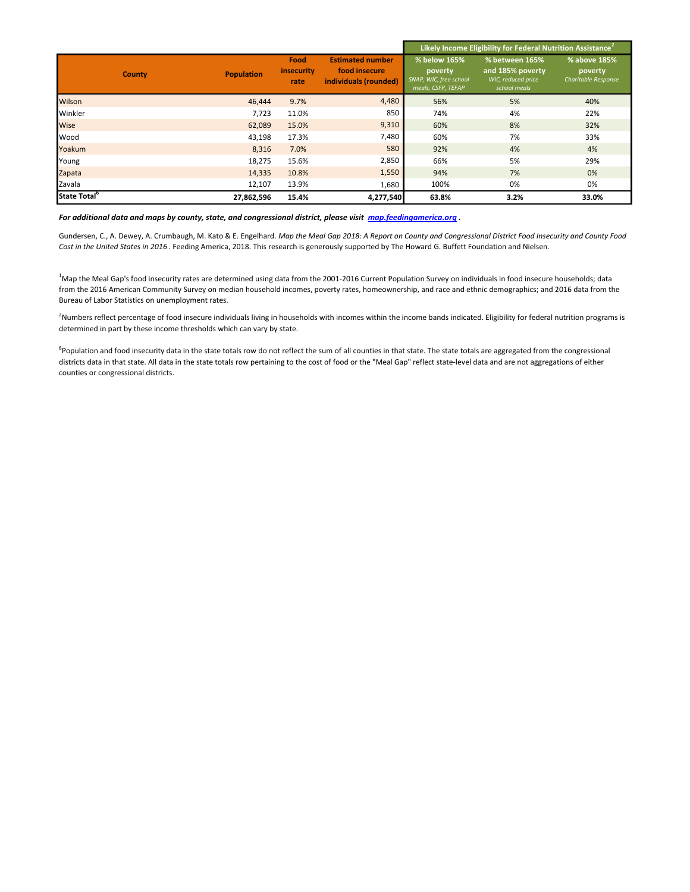|                          |                   |                            |                                                                   | Likely Income Eligibility for Federal Nutrition Assistance <sup>2</sup> |                                                                          |                                                       |
|--------------------------|-------------------|----------------------------|-------------------------------------------------------------------|-------------------------------------------------------------------------|--------------------------------------------------------------------------|-------------------------------------------------------|
| <b>County</b>            | <b>Population</b> | Food<br>insecurity<br>rate | <b>Estimated number</b><br>food insecure<br>individuals (rounded) | % below 165%<br>poverty<br>SNAP, WIC, free school<br>meals, CSFP, TEFAP | % between 165%<br>and 185% poverty<br>WIC, reduced price<br>school meals | % above 185%<br>poverty<br><b>Charitable Response</b> |
| Wilson                   | 46,444            | 9.7%                       | 4,480                                                             | 56%                                                                     | 5%                                                                       | 40%                                                   |
| Winkler                  | 7,723             | 11.0%                      | 850                                                               | 74%                                                                     | 4%                                                                       | 22%                                                   |
| Wise                     | 62,089            | 15.0%                      | 9,310                                                             | 60%                                                                     | 8%                                                                       | 32%                                                   |
| Wood                     | 43,198            | 17.3%                      | 7,480                                                             | 60%                                                                     | 7%                                                                       | 33%                                                   |
| Yoakum                   | 8,316             | 7.0%                       | 580                                                               | 92%                                                                     | 4%                                                                       | 4%                                                    |
| Young                    | 18,275            | 15.6%                      | 2,850                                                             | 66%                                                                     | 5%                                                                       | 29%                                                   |
| Zapata                   | 14,335            | 10.8%                      | 1,550                                                             | 94%                                                                     | 7%                                                                       | 0%                                                    |
| Zavala                   | 12,107            | 13.9%                      | 1,680                                                             | 100%                                                                    | 0%                                                                       | 0%                                                    |
| State Total <sup>6</sup> | 27,862,596        | 15.4%                      | 4,277,540                                                         | 63.8%                                                                   | 3.2%                                                                     | 33.0%                                                 |

## *For additional data and maps by county, state, and congressional district, please visit map.feedingamerica.org .*

Gundersen, C., A. Dewey, A. Crumbaugh, M. Kato & E. Engelhard. *Map the Meal Gap 2018: A Report on County and Congressional District Food Insecurity and County Food Cost in the United States in 2016* . Feeding America, 2018. This research is generously supported by The Howard G. Buffett Foundation and Nielsen.

<sup>1</sup>Map the Meal Gap's food insecurity rates are determined using data from the 2001-2016 Current Population Survey on individuals in food insecure households; data from the 2016 American Community Survey on median household incomes, poverty rates, homeownership, and race and ethnic demographics; and 2016 data from the Bureau of Labor Statistics on unemployment rates.

<sup>2</sup>Numbers reflect percentage of food insecure individuals living in households with income within the income bands indicated. Eligibility for federal nutrition programs is determined in part by these income thresholds which can vary by state.

<sup>6</sup>Population and food insecurity data in the state totals row do not reflect the sum of all counties in that state. The state totals are aggregated from the congressional districts data in that state. All data in the state totals row pertaining to the cost of food or the "Meal Gap" reflect state-level data and are not aggregations of either counties or congressional districts.